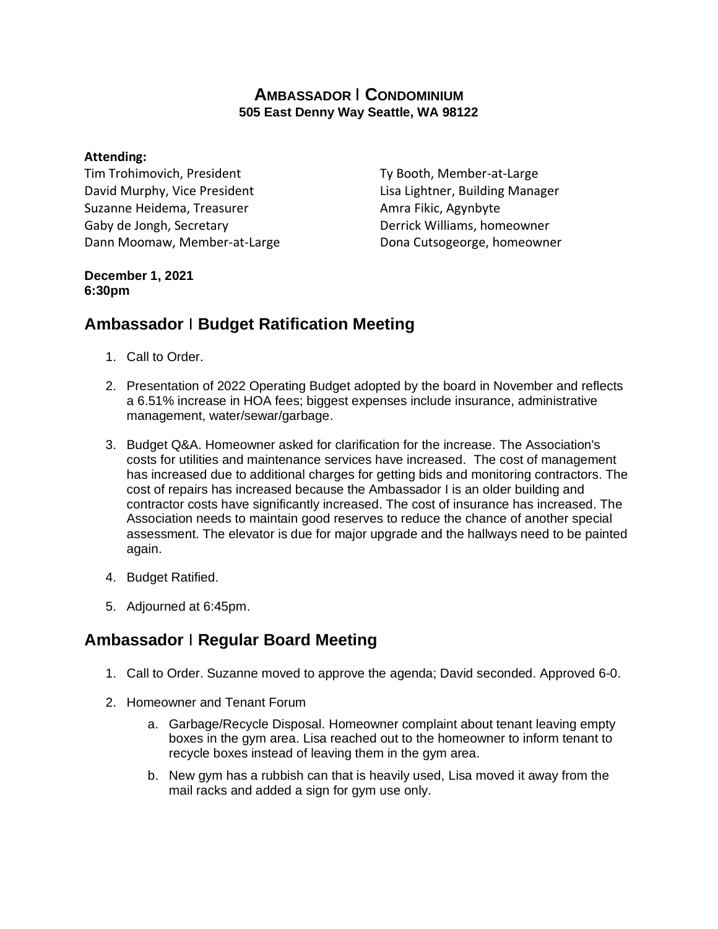### **AMBASSADOR** I **CONDOMINIUM 505 East Denny Way Seattle, WA 98122**

#### **Attending:**

Tim Trohimovich, President David Murphy, Vice President Suzanne Heidema, Treasurer Gaby de Jongh, Secretary Dann Moomaw, Member-at-Large

Ty Booth, Member-at-Large Lisa Lightner, Building Manager Amra Fikic, Agynbyte Derrick Williams, homeowner Dona Cutsogeorge, homeowner

#### **December 1, 2021 6:30pm**

# **Ambassador** I **Budget Ratification Meeting**

- 1. Call to Order.
- 2. Presentation of 2022 Operating Budget adopted by the board in November and reflects a 6.51% increase in HOA fees; biggest expenses include insurance, administrative management, water/sewar/garbage.
- 3. Budget Q&A. Homeowner asked for clarification for the increase. The Association's costs for utilities and maintenance services have increased. The cost of management has increased due to additional charges for getting bids and monitoring contractors. The cost of repairs has increased because the Ambassador I is an older building and contractor costs have significantly increased. The cost of insurance has increased. The Association needs to maintain good reserves to reduce the chance of another special assessment. The elevator is due for major upgrade and the hallways need to be painted again.
- 4. Budget Ratified.
- 5. Adjourned at 6:45pm.

## **Ambassador** I **Regular Board Meeting**

- 1. Call to Order. Suzanne moved to approve the agenda; David seconded. Approved 6-0.
- 2. Homeowner and Tenant Forum
	- a. Garbage/Recycle Disposal. Homeowner complaint about tenant leaving empty boxes in the gym area. Lisa reached out to the homeowner to inform tenant to recycle boxes instead of leaving them in the gym area.
	- b. New gym has a rubbish can that is heavily used, Lisa moved it away from the mail racks and added a sign for gym use only.